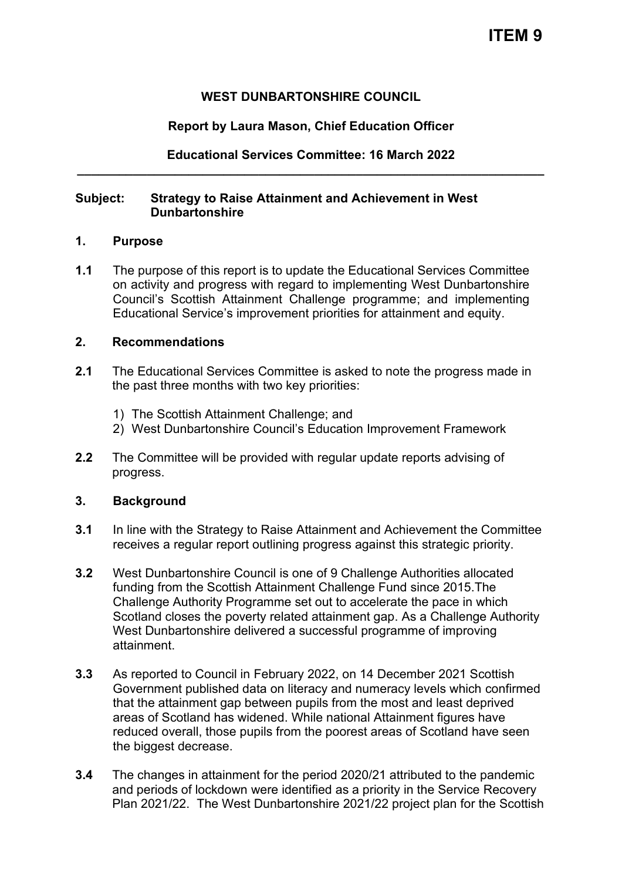### **WEST DUNBARTONSHIRE COUNCIL**

### **Report by Laura Mason, Chief Education Officer**

## **Educational Services Committee: 16 March 2022 \_\_\_\_\_\_\_\_\_\_\_\_\_\_\_\_\_\_\_\_\_\_\_\_\_\_\_\_\_\_\_\_\_\_\_\_\_\_\_\_\_\_\_\_\_\_\_\_\_\_\_\_\_\_\_\_\_\_\_\_\_\_\_\_\_\_\_**

### **Subject: Strategy to Raise Attainment and Achievement in West Dunbartonshire**

#### **1. Purpose**

**1.1** The purpose of this report is to update the Educational Services Committee on activity and progress with regard to implementing West Dunbartonshire Council's Scottish Attainment Challenge programme; and implementing Educational Service's improvement priorities for attainment and equity.

#### **2. Recommendations**

- **2.1** The Educational Services Committee is asked to note the progress made in the past three months with two key priorities:
	- 1) The Scottish Attainment Challenge; and
	- 2) West Dunbartonshire Council's Education Improvement Framework
- **2.2** The Committee will be provided with regular update reports advising of progress.

### **3. Background**

- **3.1** In line with the Strategy to Raise Attainment and Achievement the Committee receives a regular report outlining progress against this strategic priority.
- **3.2** West Dunbartonshire Council is one of 9 Challenge Authorities allocated funding from the Scottish Attainment Challenge Fund since 2015.The Challenge Authority Programme set out to accelerate the pace in which Scotland closes the poverty related attainment gap. As a Challenge Authority West Dunbartonshire delivered a successful programme of improving attainment.
- **3.3** As reported to Council in February 2022, on 14 December 2021 Scottish Government published data on literacy and numeracy levels which confirmed that the attainment gap between pupils from the most and least deprived areas of Scotland has widened. While national Attainment figures have reduced overall, those pupils from the poorest areas of Scotland have seen the biggest decrease.
- **3.4** The changes in attainment for the period 2020/21 attributed to the pandemic and periods of lockdown were identified as a priority in the Service Recovery Plan 2021/22. The West Dunbartonshire 2021/22 project plan for the Scottish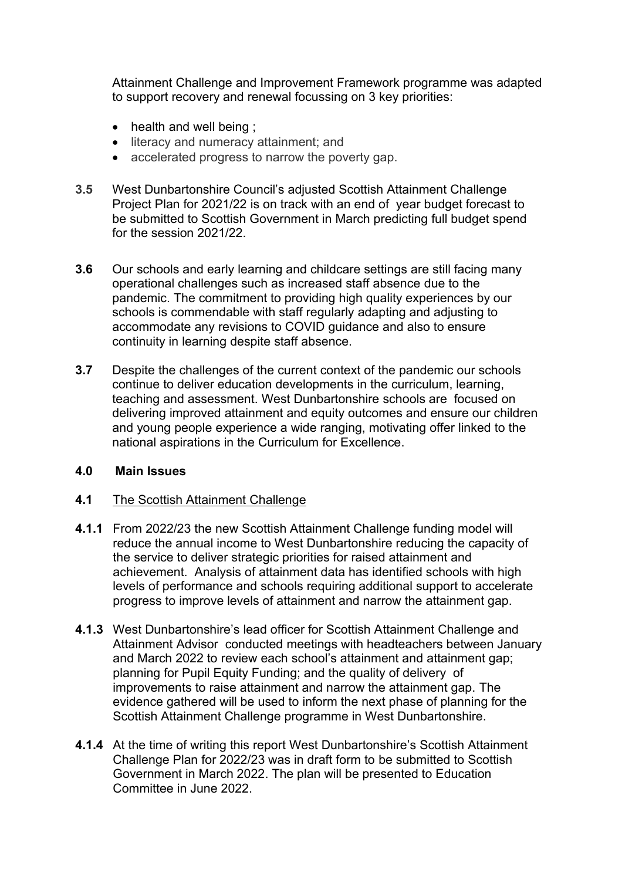Attainment Challenge and Improvement Framework programme was adapted to support recovery and renewal focussing on 3 key priorities:

- health and well being ;
- literacy and numeracy attainment; and
- accelerated progress to narrow the poverty gap.
- **3.5** West Dunbartonshire Council's adjusted Scottish Attainment Challenge Project Plan for 2021/22 is on track with an end of year budget forecast to be submitted to Scottish Government in March predicting full budget spend for the session 2021/22.
- **3.6** Our schools and early learning and childcare settings are still facing many operational challenges such as increased staff absence due to the pandemic. The commitment to providing high quality experiences by our schools is commendable with staff regularly adapting and adjusting to accommodate any revisions to COVID guidance and also to ensure continuity in learning despite staff absence.
- **3.7** Despite the challenges of the current context of the pandemic our schools continue to deliver education developments in the curriculum, learning, teaching and assessment. West Dunbartonshire schools are focused on delivering improved attainment and equity outcomes and ensure our children and young people experience a wide ranging, motivating offer linked to the national aspirations in the Curriculum for Excellence.

### **4.0 Main Issues**

### **4.1** The Scottish Attainment Challenge

- **4.1.1** From 2022/23 the new Scottish Attainment Challenge funding model will reduce the annual income to West Dunbartonshire reducing the capacity of the service to deliver strategic priorities for raised attainment and achievement. Analysis of attainment data has identified schools with high levels of performance and schools requiring additional support to accelerate progress to improve levels of attainment and narrow the attainment gap.
- **4.1.3** West Dunbartonshire's lead officer for Scottish Attainment Challenge and Attainment Advisor conducted meetings with headteachers between January and March 2022 to review each school's attainment and attainment gap; planning for Pupil Equity Funding; and the quality of delivery of improvements to raise attainment and narrow the attainment gap. The evidence gathered will be used to inform the next phase of planning for the Scottish Attainment Challenge programme in West Dunbartonshire.
- **4.1.4** At the time of writing this report West Dunbartonshire's Scottish Attainment Challenge Plan for 2022/23 was in draft form to be submitted to Scottish Government in March 2022. The plan will be presented to Education Committee in June 2022.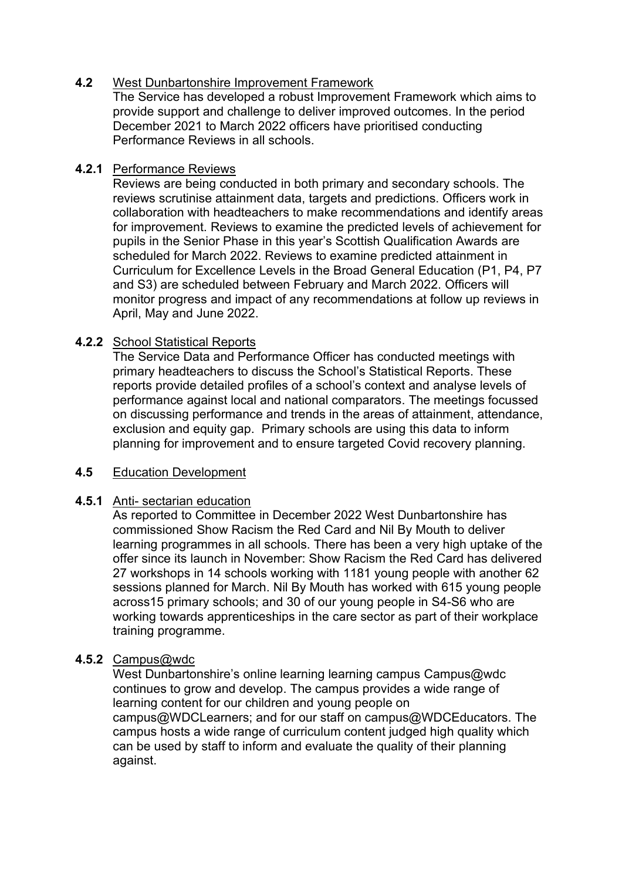### **4.2** West Dunbartonshire Improvement Framework

The Service has developed a robust Improvement Framework which aims to provide support and challenge to deliver improved outcomes. In the period December 2021 to March 2022 officers have prioritised conducting Performance Reviews in all schools.

### **4.2.1** Performance Reviews

Reviews are being conducted in both primary and secondary schools. The reviews scrutinise attainment data, targets and predictions. Officers work in collaboration with headteachers to make recommendations and identify areas for improvement. Reviews to examine the predicted levels of achievement for pupils in the Senior Phase in this year's Scottish Qualification Awards are scheduled for March 2022. Reviews to examine predicted attainment in Curriculum for Excellence Levels in the Broad General Education (P1, P4, P7 and S3) are scheduled between February and March 2022. Officers will monitor progress and impact of any recommendations at follow up reviews in April, May and June 2022.

# **4.2.2** School Statistical Reports

The Service Data and Performance Officer has conducted meetings with primary headteachers to discuss the School's Statistical Reports. These reports provide detailed profiles of a school's context and analyse levels of performance against local and national comparators. The meetings focussed on discussing performance and trends in the areas of attainment, attendance, exclusion and equity gap. Primary schools are using this data to inform planning for improvement and to ensure targeted Covid recovery planning.

### **4.5** Education Development

### **4.5.1** Anti- sectarian education

As reported to Committee in December 2022 West Dunbartonshire has commissioned Show Racism the Red Card and Nil By Mouth to deliver learning programmes in all schools. There has been a very high uptake of the offer since its launch in November: Show Racism the Red Card has delivered 27 workshops in 14 schools working with 1181 young people with another 62 sessions planned for March. Nil By Mouth has worked with 615 young people across15 primary schools; and 30 of our young people in S4-S6 who are working towards apprenticeships in the care sector as part of their workplace training programme.

### **4.5.2** Campus@wdc

West Dunbartonshire's online learning learning campus Campus@wdc continues to grow and develop. The campus provides a wide range of learning content for our children and young people on campus@WDCLearners; and for our staff on campus@WDCEducators. The campus hosts a wide range of curriculum content judged high quality which can be used by staff to inform and evaluate the quality of their planning against.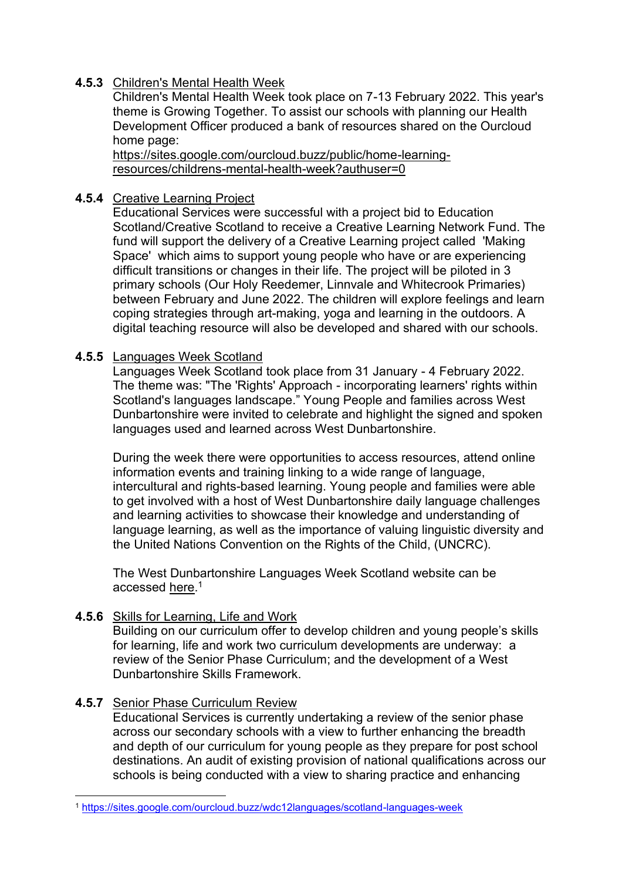# **4.5.3** Children's Mental Health Week

 Children's Mental Health Week took place on 7-13 February 2022. This year's theme is Growing Together. To assist our schools with planning our Health Development Officer produced a bank of resources shared on the Ourcloud home page:

[https://sites.google.com/ourcloud.buzz/public/home-learning](https://sites.google.com/ourcloud.buzz/public/home-learning-resources/childrens-mental-health-week?authuser=0)[resources/childrens-mental-health-week?authuser=0](https://sites.google.com/ourcloud.buzz/public/home-learning-resources/childrens-mental-health-week?authuser=0) 

# **4.5.4** Creative Learning Project

Educational Services were successful with a project bid to Education Scotland/Creative Scotland to receive a Creative Learning Network Fund. The fund will support the delivery of a Creative Learning project called 'Making Space' which aims to support young people who have or are experiencing difficult transitions or changes in their life. The project will be piloted in 3 primary schools (Our Holy Reedemer, Linnvale and Whitecrook Primaries) between February and June 2022. The children will explore feelings and learn coping strategies through art-making, yoga and learning in the outdoors. A digital teaching resource will also be developed and shared with our schools.

### **4.5.5** Languages Week Scotland

Languages Week Scotland took place from 31 January - 4 February 2022. The theme was: "The 'Rights' Approach - incorporating learners' rights within Scotland's languages landscape." Young People and families across West Dunbartonshire were invited to celebrate and highlight the signed and spoken languages used and learned across West Dunbartonshire.

During the week there were opportunities to access resources, attend online information events and training linking to a wide range of language, intercultural and rights-based learning. Young people and families were able to get involved with a host of West Dunbartonshire daily language challenges and learning activities to showcase their knowledge and understanding of language learning, as well as the importance of valuing linguistic diversity and the United Nations Convention on the Rights of the Child, (UNCRC).

The West Dunbartonshire Languages Week Scotland website can be accessed [here.](https://sites.google.com/ourcloud.buzz/wdc12languages/scotland-languages-week)<sup>1</sup>

# **4.5.6** Skills for Learning, Life and Work

Building on our curriculum offer to develop children and young people's skills for learning, life and work two curriculum developments are underway: a review of the Senior Phase Curriculum; and the development of a West Dunbartonshire Skills Framework.

# **4.5.7** Senior Phase Curriculum Review

Educational Services is currently undertaking a review of the senior phase across our secondary schools with a view to further enhancing the breadth and depth of our curriculum for young people as they prepare for post school destinations. An audit of existing provision of national qualifications across our schools is being conducted with a view to sharing practice and enhancing

<sup>1</sup> <https://sites.google.com/ourcloud.buzz/wdc12languages/scotland-languages-week>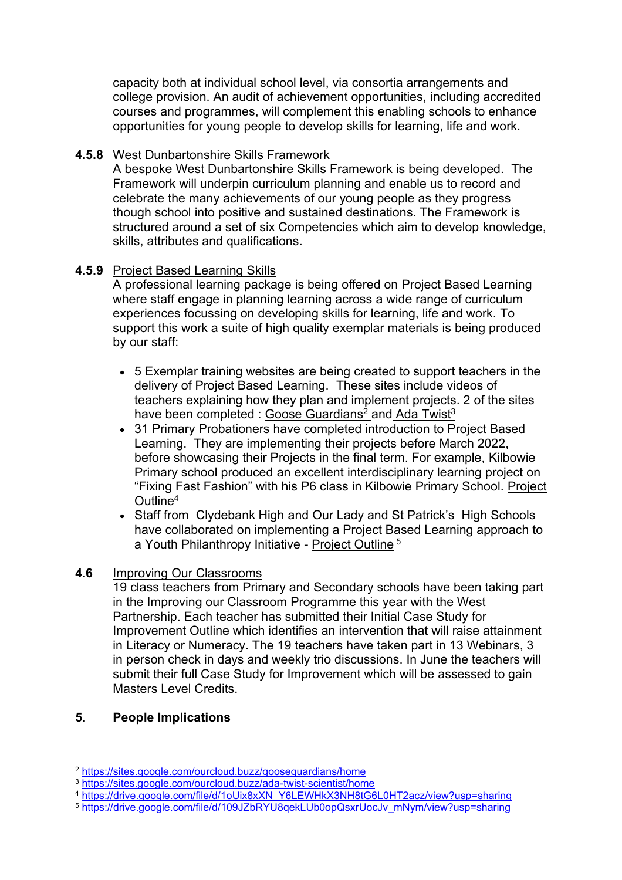capacity both at individual school level, via consortia arrangements and college provision. An audit of achievement opportunities, including accredited courses and programmes, will complement this enabling schools to enhance opportunities for young people to develop skills for learning, life and work.

### **4.5.8** West Dunbartonshire Skills Framework

A bespoke West Dunbartonshire Skills Framework is being developed. The Framework will underpin curriculum planning and enable us to record and celebrate the many achievements of our young people as they progress though school into positive and sustained destinations. The Framework is structured around a set of six Competencies which aim to develop knowledge, skills, attributes and qualifications.

### **4.5.9** Project Based Learning Skills

A professional learning package is being offered on Project Based Learning where staff engage in planning learning across a wide range of curriculum experiences focussing on developing skills for learning, life and work. To support this work a suite of high quality exemplar materials is being produced by our staff:

- 5 Exemplar training websites are being created to support teachers in the delivery of Project Based Learning. These sites include videos of teachers explaining how they plan and implement projects. 2 of the sites have been completed : <u>Goose Guardians<sup>2</sup> an[d Ada Twist](https://sites.google.com/ourcloud.buzz/ada-twist-scientist/home)<sup>3</sup></u>
- 31 Primary Probationers have completed introduction to Project Based Learning. They are implementing their projects before March 2022, before showcasing their Projects in the final term. For example, Kilbowie Primary school produced an excellent interdisciplinary learning project on "Fixing Fast Fashion" with his P6 class in Kilbowie Primary School. [Project](https://drive.google.com/file/d/1oUix8xXN_Y6LEWHkX3NH8tG6L0HT2acz/view?usp=sharing)  [Outline](https://drive.google.com/file/d/1oUix8xXN_Y6LEWHkX3NH8tG6L0HT2acz/view?usp=sharing)<sup>4</sup>
- Staff from Clydebank High and Our Lady and St Patrick's High Schools have collaborated on implementing a Project Based Learning approach to a Youth Philanthropy Initiative - [Project Outline](https://drive.google.com/file/d/109JZbRYU8qekLUb0opQsxrUocJv_mNym/view?usp=sharing)<sup>5</sup>

### **4.6** Improving Our Classrooms

19 class teachers from Primary and Secondary schools have been taking part in the Improving our Classroom Programme this year with the West Partnership. Each teacher has submitted their Initial Case Study for Improvement Outline which identifies an intervention that will raise attainment in Literacy or Numeracy. The 19 teachers have taken part in 13 Webinars, 3 in person check in days and weekly trio discussions. In June the teachers will submit their full Case Study for Improvement which will be assessed to gain Masters Level Credits.

# **5. People Implications**

<sup>5</sup> [https://drive.google.com/file/d/109JZbRYU8qekLUb0opQsxrUocJv\\_mNym/view?usp=sharing](https://drive.google.com/file/d/109JZbRYU8qekLUb0opQsxrUocJv_mNym/view?usp=sharing)

<sup>2</sup> <https://sites.google.com/ourcloud.buzz/gooseguardians/home>

<sup>3</sup> <https://sites.google.com/ourcloud.buzz/ada-twist-scientist/home>

<sup>4</sup> [https://drive.google.com/file/d/1oUix8xXN\\_Y6LEWHkX3NH8tG6L0HT2acz/view?usp=sharing](https://drive.google.com/file/d/1oUix8xXN_Y6LEWHkX3NH8tG6L0HT2acz/view?usp=sharing)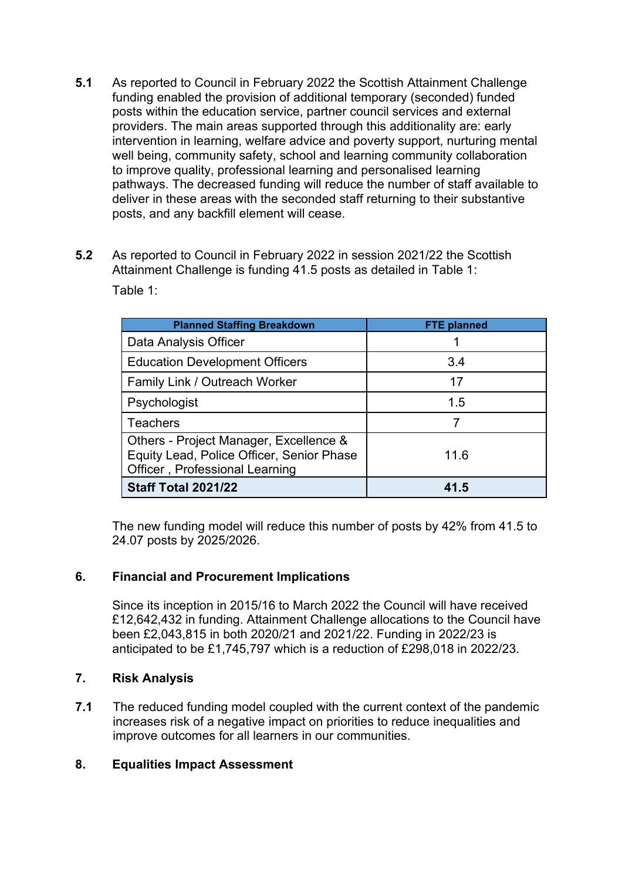- **5.1** As reported to Council in February 2022 the Scottish Attainment Challenge funding enabled the provision of additional temporary (seconded) funded posts within the education service, partner council services and external providers. The main areas supported through this additionality are: early intervention in learning, welfare advice and poverty support, nurturing mental well being, community safety, school and learning community collaboration to improve quality, professional learning and personalised learning pathways. The decreased funding will reduce the number of staff available to deliver in these areas with the seconded staff returning to their substantive posts, and any backfill element will cease.
- **5.2** As reported to Council in February 2022 in session 2021/22 the Scottish Attainment Challenge is funding 41.5 posts as detailed in Table 1: Table 1:

| <b>Planned Staffing Breakdown</b>                                                                                     | <b>FTE planned</b> |
|-----------------------------------------------------------------------------------------------------------------------|--------------------|
| Data Analysis Officer                                                                                                 |                    |
| <b>Education Development Officers</b>                                                                                 | 3.4                |
| Family Link / Outreach Worker                                                                                         | 17                 |
| Psychologist                                                                                                          | 1.5                |
| <b>Teachers</b>                                                                                                       |                    |
| Others - Project Manager, Excellence &<br>Equity Lead, Police Officer, Senior Phase<br>Officer, Professional Learning | 11.6               |
| Staff Total 2021/22                                                                                                   | 41.5               |

The new funding model will reduce this number of posts by 42% from 41.5 to 24.07 posts by 2025/2026.

# **6. Financial and Procurement Implications**

Since its inception in 2015/16 to March 2022 the Council will have received £12,642,432 in funding. Attainment Challenge allocations to the Council have been £2,043,815 in both 2020/21 and 2021/22. Funding in 2022/23 is anticipated to be £1,745,797 which is a reduction of £298,018 in 2022/23.

# **7. Risk Analysis**

**7.1** The reduced funding model coupled with the current context of the pandemic increases risk of a negative impact on priorities to reduce inequalities and improve outcomes for all learners in our communities.

# **8. Equalities Impact Assessment**